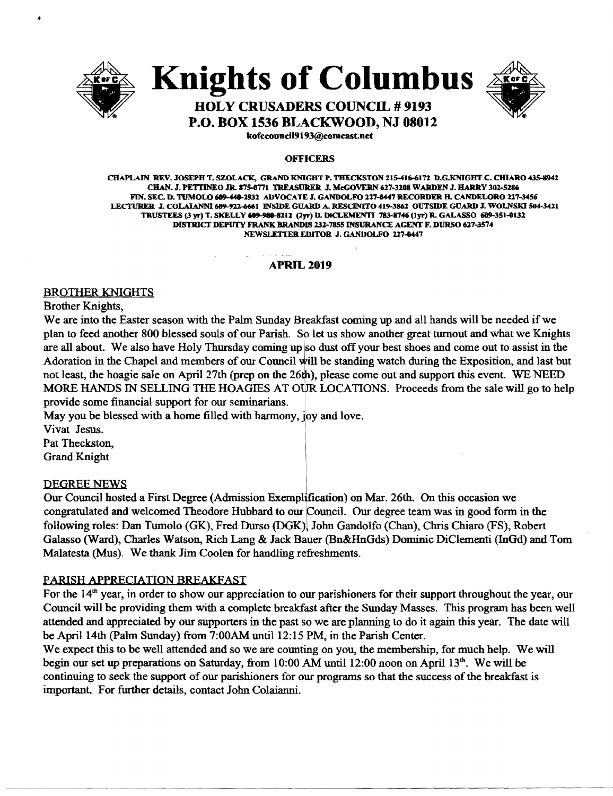

**Knights of Columbus** 



## **HOLY CRUSADERS COUNCIL # 9193 P.O. BOX 1536 BLACKWOOD, NJ 08012**

kofeeouneil9193@eomcast.net

#### **OFFICERS**

CHAPLAIN REV. JOSEPH T. SZOLACK, GRAND KNIGHT P. THECKSTON 215-416-6172 D.G.KNIGHT C. CHIARO 435-8942 CHAN. J. PETTINEO JR. 875-0771 TREASURER J. McGOVERN 627-3208 WARDEN J. HARRY 302-5286 FIN. SEC. D. TUMOLO 609-440-2932 ADVOCATE J. GANDOLFO 227-8447 RECORDER H. CANDELORO 227-3456 LECTURER J. COLAIANNI 689-922-6661 INSIDE GUARD A. RESCINITO 419-3862 OUTSIDE GUARD J. WOLNSKI 504-3421 TRUSTEES (3 yr) T. SKELLY 609-980-8212 (2yr) D. DICLEMENTI 783-8746 (Iyr) R. GALASSO 609-351-0132 DISTRICT DEPUTY FRANK BRANDIS 131-7855 INSURANCE AGENT F. DURSO 617-3574 NEWSLETTER EDITOR J. GANDOLFO 227-0447

#### **APRlL2019**

#### BROTHER KNIGHTS

Brother Knights,

We are into the Easter season with the Palm Sunday Breakfast coming up and all hands will be needed if we plan to feed another 800 blessed souls of our Parish. So let us show another great turnout and what we Knights are all about. We also have Holy Thursday coming up so dust off your best shoes and come out to assist in the Adoration in the Chapel and members of our Council Will be standing watch during the Exposition, and last but not least, the hoagie sale on April 27th (prep on the 26th), please come out and support this event. WE NEED MORE HANDS IN SELLING THE HOAGIES AT OUR LOCATIONS. Proceeds from the sale will go to help provide some financial support for our seminarians.

May you be blessed with a home filled with harmony, joy and love.

Vivat Jesus. Pat Theckston, Grand Knight

#### DEGREE NEWS

Our Council hosted a First Degree (Admission Exemplification) on Mar. 26th. On this occasion we congratulated and welcomed Theodore Hubbard to our Council. Our degree team was in good form in the following roles: Dan Tumolo (GK), Fred Durso (OGK), John Gandolfo (Chan), Chris Chiaro (FS), Robert Galasso (Ward), Charles Watson, Rich Lang & Jack Bauer (Bn&HnGds) Dominic DiClementi (!nGd) and Tom Malatesta (Mus). We thank Jim Coolen for handling refreshments.

#### PARISH APPRECIATION BREAKFAST

For the  $14<sup>th</sup>$  year, in order to show our appreciation to our parishioners for their support throughout the year, our Council will be providing them with a complete breakfast after the Sunday Masses. This program has been well attended and appreciated by our supporters in the past so we are planning to do it again this year. The date will be April 14th (Palm Sunday) from 7:00 AM until 12:15 PM, in the Parish Center.

We expect this to be well attended and so we are counting on you, the membership, for much help. We will begin our set up preparations on Saturday, from  $10:00$  AM until  $12:00$  noon on April  $13<sup>th</sup>$ . We will be continuing to seek the support of our parishioners for our programs so that the success of the breakfast is important. For further details, contact John Colaianni.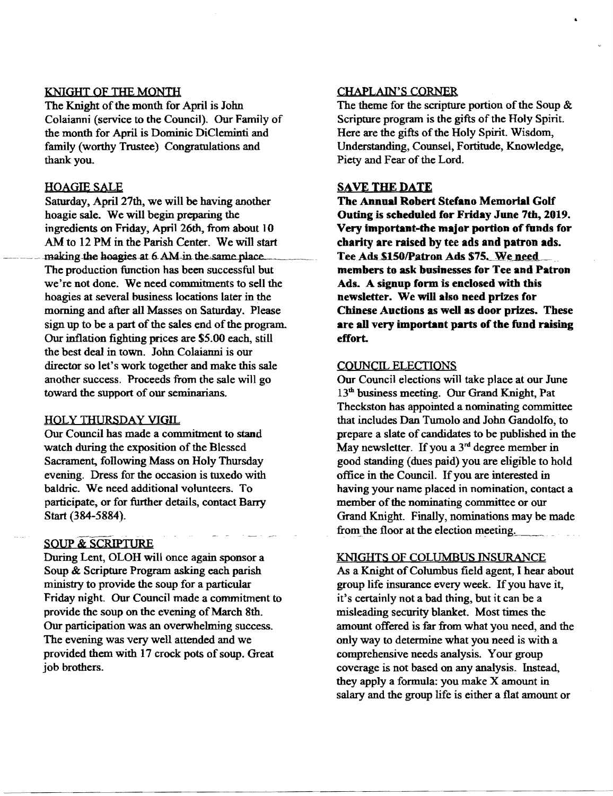#### KNIGHT OF THE MONTH

The Knight of the month for April is John Colaianni (service to the Council). Our Family of the month for April is Dominic DiCleminti and family (worthy Trustee) Congratulations and thank you.

#### HOAQIESALE

Saturday, April 27th, we will be having another hoagie sale. We will begin preparing the ingredients on Friday, April 26th, from about 10 AM to 12 PM in the Parish Center. We will start making the hoagies at 6 AM in the same place. The production function has been successful but we're not done. We need commitments to sell the hoagies at several business locations later in the morning and after all Masses on Saturday. Please sign up to be a part of the sales end of the program. Our inflation fighting prices are \$5.00 each, still the best deal in town. John Colaianni is our director so let's work together and make this sale another success. Proceeds from the sale will go toward the support of our seminarians.

#### HOLY THURSDAY VIGIL

Our Council has made a commitment to stand watch during the exposition of the Blessed Sacrament, following Mass on Holy Thursday evening. Dress for the occasion is tuxedo with ba1dric. We need additional volunteers. To participate, or for further details, contact Barry Start (384-5884).

### SOUP & SCRIPTURE

During Lent, OLOH will once again sponsor a Soup & Scripture Program asking each parish ministry to provide the soup for a particular Friday night. Our Council made a commitment to provide the soup on the evening of March 8th. Our participation was an overwhelming success. The evening was very well attended and we provided them with 17 crock pots of soup. Great job brothers.

#### CHAPLAIN'S CORNER

The theme for the scripture portion of the Soup  $\&$ Scripture program is the gifts of the Holy Spirit. Here are the gifts of the Holy Spirit. Wisdom, Understanding, Counsel, Fortitude, Knowledge, Piety and Fear of the Lord.

#### SAVE THE DATE

The Annual Robert Stefano Memorial Golf Outing is seheduled for Friday June 7th, 2019. Very important-the major portion of funds for charity are raised hy tee ads and patron ads. Tee Ads \$150/Patron Ads \$75. We need members to ask businesses for Tee and Patron Ads. A signup form is enclosed with this newsletter. We will also need prizes for Chinese Auctions as well as door prizes. These are all very important parts of the fund raising effort.

#### COUNCIL ELECTIONS

Our Council elections will take place at our June 13th business meeting. Our Grand Knight, Pat Theckston has appointed a nominating committee that includes Dan Tumolo and John Gandolfo, to prepare a slate of candidates to be published in the May newsletter. If you a  $3<sup>rd</sup>$  degree member in good standing (dues paid) you are eligible to hold office in the CounciL Ifyou are interested in having your name placed in nomination, contact a member of the nominating committee or our Grand Knight. Finally, nominations may be made from the floor at the election meeting.

#### KNIGHTS OF COLUMBUS INSURANCE

As a Knight of Columbus field agent, I hear about group life insurance every week. If you have it, it's certainly not a bad thing, but it can be a misleading security blanket. Most times the amount offered is far from what you need, and the only way to determine what you need is with a comprehensive needs analysis. Your group coverage is not based on any analysis. Instead, they apply a formula: you make X amount in salary and the group life is either a flat amount or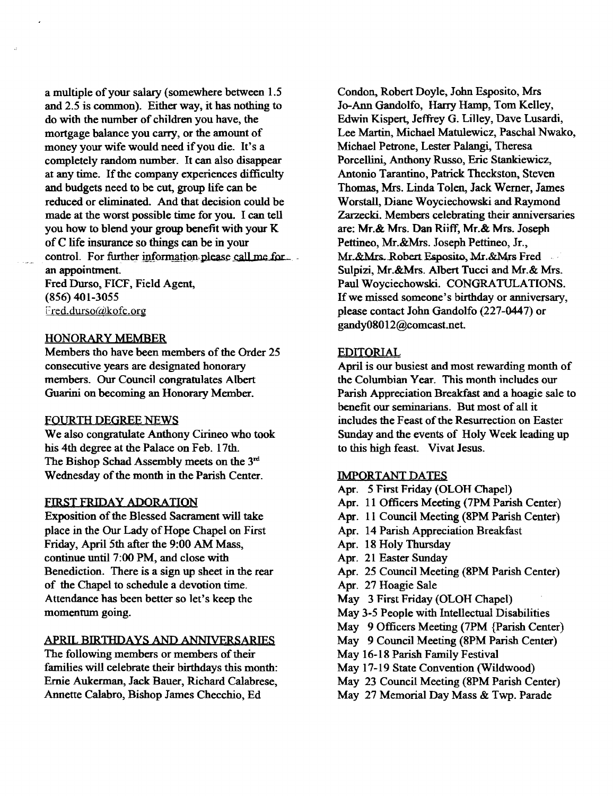a multiple of your salary (somewhere between 1.5 and 2.5 is common). Either way, it has nothing to do with the number of children you have, the mortgage balance you carry, or the amount of money your wife would need if you die. It's a completely random number. It can also disappear at any time. If the company experiences difficulty and budgets need to be cut, group life can be reduced or eliminated. And that decision could be made at the worst possible time for you. I can tell you how to blend your group benefit with your K ofC life insurance so things can be in your control. For further information please call me.for. an appointment.

Fred Durso, FICF, Field Agent, (856) 401-3055 Fred.durso@kofc.org

#### HONORARY MEMBER

Members tho have been members of the Order 25 consecutive years are designated honorary members. Our Council congratulates Albert Guarini on becoming an Honorary Member.

#### FOURTH DEGREE NEWS

We also congratulate Anthony Cirineo who took his 4th degree at the Palace on Feb. 17th. The Bishop Schad Assembly meets on the 3<sup>rd</sup> Wednesday of the month in the Parish Center.

#### FIRST FRIDAY ADORATION

Exposition of the Blessed Sacrament will take place in the Our Lady of Hope Chapel on First Friday, April 5th after the 9:00 AM Mass, continue until 7:00 PM, and close with Benediction. There is a sign up sheet in the rear of the Chapel to schedule a devotion time. Attendance has been better so let's keep the momentum going.

#### APRIL BIRTHDAYS AND ANNIVERSARIES

The following members or members of their families will celebrate their birthdays this month: Ernie Aukerman, Jack Bauer, Richard Calabrese, Annette Calabro, Bishop James Checchio, Ed

Condon, Robert Doyle, John Esposito, Mrs Jo-Ann Gandolfo, Harry Hamp, Tom Kelley, Edwin Kispert, Jeffrey G. Lilley, Dave Lusardi, Lee Martin, Michael Matulewicz, Paschal Nwako, Michael Petrone, Lester Palangi, Theresa Porcellini, Anthony Russo, Eric Stankiewicz, Antonio Tarantino, Patrick Theckston, Steven Thomas, Mrs. Linda Tolen, Jack Werner, James Worstall, Diane Woyciechowski and Raymond Zarzecki. Members celebrating their anniversaries are: Mr.& Mrs. Dan Riiff, Mr.& Mrs. Joseph Pettineo, Mr.&Mrs. Joseph Pettineo, Jr., Mr.&Mrs. Robert Esposito, Mr.&Mrs Fred Sulpizi, Mr.&Mrs. Albert Tucci and Mr.& Mrs. Paul Woyciechowski. CONGRATULATIONS. If we missed someone's birthday or anniversary, please contact John Gandolfo (227-0447) or gandy08012@comcast.net.

#### EDITORIAL

April is our busiest and most rewarding month of the Columbian Year. This month includes our Parish Appreciation Breakfast and a hoagie sale to benefit our seminarians. But most of all it includes the Feast of the Resurrection on Easter Sunday and the events of Holy Week leading up to this high feast. Vivat Jesus.

#### IMPORTANT DATES

Apr. 5 First Friday (OLOH Chapel) Apr. 11 Officers Meeting (7PM Parish Center) Apr. 11 Council Meeting (8PM Parish Center) Apr. 14 Parish Appreciation Breakfast Apr. 18 Holy Thursday Apr. 21 Easter Sunday Apr. 25 Council Meeting (8PM Parish Center) Apr. 27 Hoagie Sale May 3 First Friday (OLOH Chapel) May 3-5 People with Intellectual Disabilities May 9 Officers Meeting (7PM {Parish Center) May 9 Council Meeting (8PM Parish Center) May 16-18 Parish Family Festival May 17-19 State Convention (Wildwood) May 23 Council Meeting (8PM Parish Center) May 27 Memorial Day Mass & Twp. Parade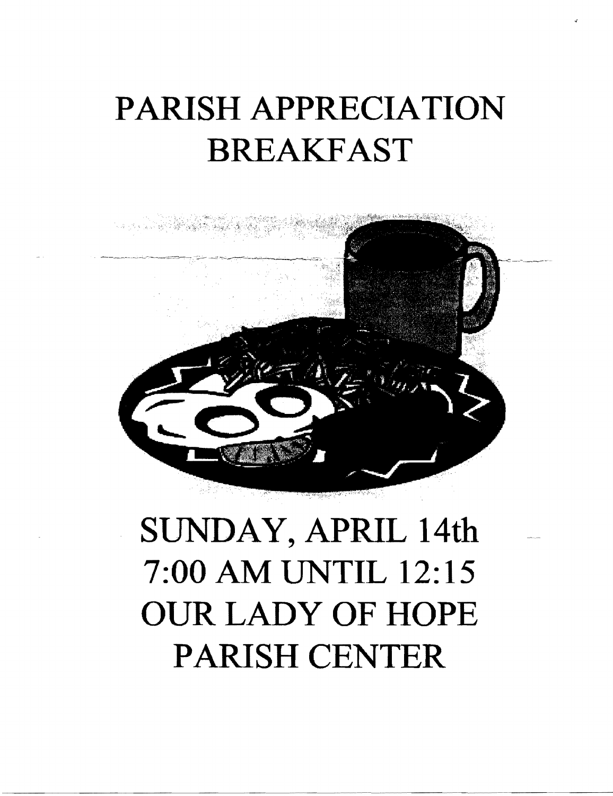# PARISH APPRECIATION BREAKFAST



# SUNDAY, APRIL 14th 7:00 AM UNTIL 12:15 OUR LADY OF HOPE PARISH CENTER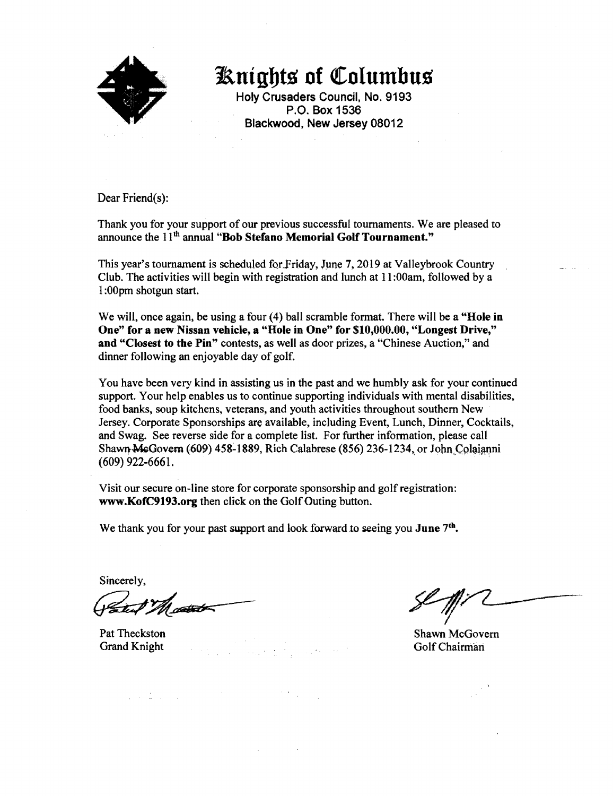

**JRnigbts of** ~oIumbus

Holy Crusaders Council, No. 9193 P.O. Box 1536 Blackwood, New Jersey 08012

Dear Friend(s):

Thank you for your support of our previous successful tournaments. We are pleased to announce the 11<sup>th</sup> annual "Bob Stefano Memorial Golf Tournament."

This year's tournament is scheduled for Friday, June 7, 2019 at Valleybrook Country Club. The activities will begin with registration and lunch at 11 :OOam, followed by a I :OOpm shotgun start.

We will, once again, be using a four (4) ball scramble format. There will be a "Hole in One" for a new Nissan vehicle, a "Hole in One" for \$10,000.00, "Longest Drive," and "Closest to the Pin" contests, as well as door prizes, a "Chinese Auction," and dinner following an enjoyable day of golf.

You have been very kind in assisting us in the past and we humbly ask for your continued support. Your help enables us to continue supporting individuals with mental disabilities, food banks, soup kitchens, veterans, and youth activities throughout southern New Jersey. Corporate Sponsorships are available, including Event, Lunch, Dinner, Cocktails, and Swag. See reverse side for a complete list. For further information, please call Shawn McGovern (609) 458-1889, Rich Calabrese (856) 236-1234, or John Colaianni  $(609)$  922-6661.

Visit our secure on-line store for corporate sponsorship and golf registration: www.KofC9193.org then click on the Golf Outing button.

We thank you for your past support and look forward to seeing you June 7<sup>th</sup>.

Sincerely,

Sincerely,

 $\label{eq:2.1} \frac{1}{2} \int_{\mathbb{R}^3} \frac{1}{\sqrt{2}} \left( \frac{1}{2} \int_{\mathbb{R}^3} \frac{1}{\sqrt{2}} \left( \frac{1}{2} \int_{\mathbb{R}^3} \frac{1}{\sqrt{2}} \right) \right) \frac{1}{\sqrt{2}} \, \mathrm{d} \mathcal{L} \, \mathrm{d} \mathcal{L} \, \mathrm{d} \mathcal{L} \, \mathrm{d} \mathcal{L} \, \mathrm{d} \mathcal{L} \, \mathrm{d} \mathcal{L} \, \mathrm{d} \mathcal{L} \, \mathrm{d} \mathcal{$ 

Pat Theckston Shawn McGovern Shawn McGovern Shawn McGovern Shawn McGovern Shawn McGovern Shawn McGovern Shawn McGovern Shawn McGovern Shawn McGovern Shawn McGovern Shawn McGovern Shawn McGovern Shawn McGovern Shawn McGover Grand Knight Golf Chairman